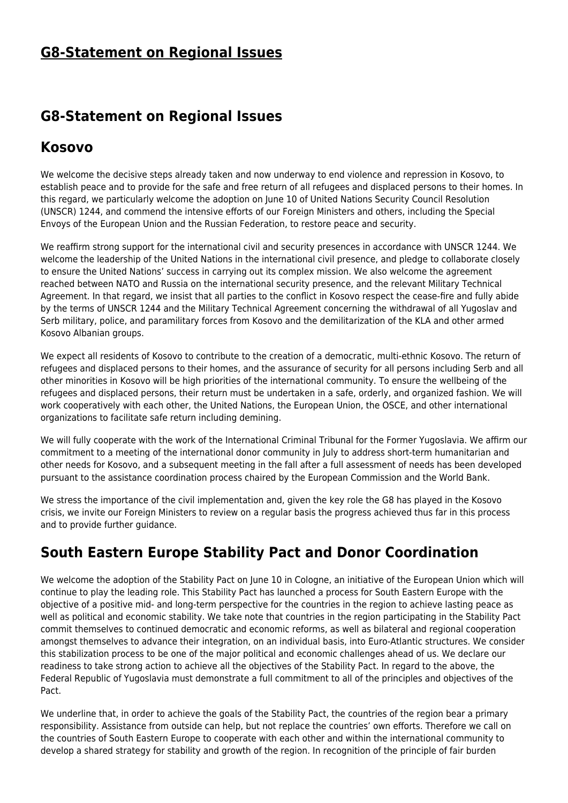## **G8-Statement on Regional Issues**

## **Kosovo**

We welcome the decisive steps already taken and now underway to end violence and repression in Kosovo, to establish peace and to provide for the safe and free return of all refugees and displaced persons to their homes. In this regard, we particularly welcome the adoption on June 10 of United Nations Security Council Resolution (UNSCR) 1244, and commend the intensive efforts of our Foreign Ministers and others, including the Special Envoys of the European Union and the Russian Federation, to restore peace and security.

We reaffirm strong support for the international civil and security presences in accordance with UNSCR 1244. We welcome the leadership of the United Nations in the international civil presence, and pledge to collaborate closely to ensure the United Nations' success in carrying out its complex mission. We also welcome the agreement reached between NATO and Russia on the international security presence, and the relevant Military Technical Agreement. In that regard, we insist that all parties to the conflict in Kosovo respect the cease-fire and fully abide by the terms of UNSCR 1244 and the Military Technical Agreement concerning the withdrawal of all Yugoslav and Serb military, police, and paramilitary forces from Kosovo and the demilitarization of the KLA and other armed Kosovo Albanian groups.

We expect all residents of Kosovo to contribute to the creation of a democratic, multi-ethnic Kosovo. The return of refugees and displaced persons to their homes, and the assurance of security for all persons including Serb and all other minorities in Kosovo will be high priorities of the international community. To ensure the wellbeing of the refugees and displaced persons, their return must be undertaken in a safe, orderly, and organized fashion. We will work cooperatively with each other, the United Nations, the European Union, the OSCE, and other international organizations to facilitate safe return including demining.

We will fully cooperate with the work of the International Criminal Tribunal for the Former Yugoslavia. We affirm our commitment to a meeting of the international donor community in July to address short-term humanitarian and other needs for Kosovo, and a subsequent meeting in the fall after a full assessment of needs has been developed pursuant to the assistance coordination process chaired by the European Commission and the World Bank.

We stress the importance of the civil implementation and, given the key role the G8 has played in the Kosovo crisis, we invite our Foreign Ministers to review on a regular basis the progress achieved thus far in this process and to provide further guidance.

## **South Eastern Europe Stability Pact and Donor Coordination**

We welcome the adoption of the Stability Pact on June 10 in Cologne, an initiative of the European Union which will continue to play the leading role. This Stability Pact has launched a process for South Eastern Europe with the objective of a positive mid- and long-term perspective for the countries in the region to achieve lasting peace as well as political and economic stability. We take note that countries in the region participating in the Stability Pact commit themselves to continued democratic and economic reforms, as well as bilateral and regional cooperation amongst themselves to advance their integration, on an individual basis, into Euro-Atlantic structures. We consider this stabilization process to be one of the major political and economic challenges ahead of us. We declare our readiness to take strong action to achieve all the objectives of the Stability Pact. In regard to the above, the Federal Republic of Yugoslavia must demonstrate a full commitment to all of the principles and objectives of the Pact.

We underline that, in order to achieve the goals of the Stability Pact, the countries of the region bear a primary responsibility. Assistance from outside can help, but not replace the countries' own efforts. Therefore we call on the countries of South Eastern Europe to cooperate with each other and within the international community to develop a shared strategy for stability and growth of the region. In recognition of the principle of fair burden